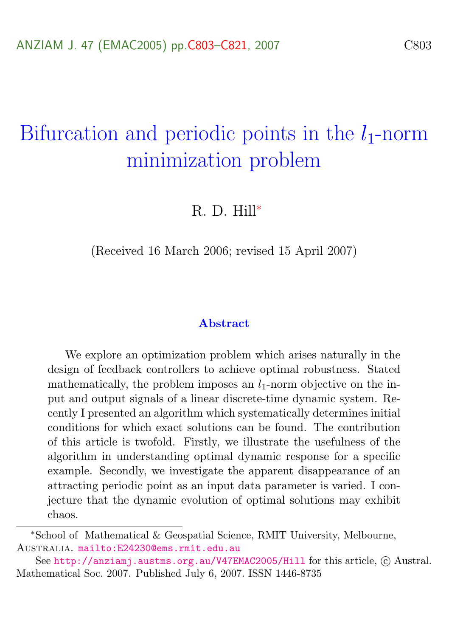# Bifurcation and periodic points in the  $l_1$ -norm minimization problem

## R. D. Hill<sup>∗</sup>

(Received 16 March 2006; revised 15 April 2007)

#### Abstract

We explore an optimization problem which arises naturally in the design of feedback controllers to achieve optimal robustness. Stated mathematically, the problem imposes an  $l_1$ -norm objective on the input and output signals of a linear discrete-time dynamic system. Recently I presented an algorithm which systematically determines initial conditions for which exact solutions can be found. The contribution of this article is twofold. Firstly, we illustrate the usefulness of the algorithm in understanding optimal dynamic response for a specific example. Secondly, we investigate the apparent disappearance of an attracting periodic point as an input data parameter is varied. I conjecture that the dynamic evolution of optimal solutions may exhibit chaos.

<sup>∗</sup>School of Mathematical & Geospatial Science, RMIT University, Melbourne, Australia. <mailto:E24230@ems.rmit.edu.au>

See <http://anziamj.austms.org.au/V47EMAC2005/Hill> for this article, © Austral. Mathematical Soc. 2007. Published July 6, 2007. ISSN 1446-8735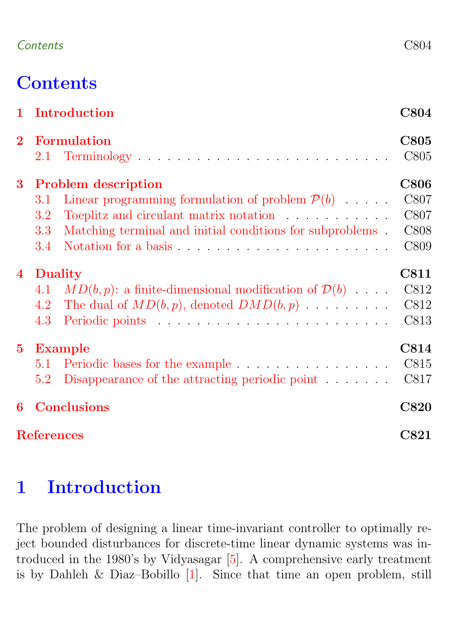### <span id="page-1-1"></span>Contents C804

# **Contents**

|                | 1 Introduction                                                        | <b>C804</b> |
|----------------|-----------------------------------------------------------------------|-------------|
| $\overline{2}$ | <b>Formulation</b>                                                    | <b>C805</b> |
|                |                                                                       | C805        |
| 3 <sup>1</sup> | <b>Problem description</b>                                            | <b>C806</b> |
|                | Linear programming formulation of problem $\mathcal{P}(b)$<br>3.1     | C807        |
|                | Toeplitz and circulant matrix notation<br>3.2                         | C807        |
|                | Matching terminal and initial conditions for subproblems.<br>3.3      | C808        |
|                | 3.4                                                                   | C809        |
| 4              | Duality                                                               | C811        |
|                | $MD(b, p)$ : a finite-dimensional modification of $D(b)$<br>4.1       | C812        |
|                | The dual of $MD(b, p)$ , denoted $DMD(b, p)$<br>4.2                   | C812        |
|                | 4.3                                                                   | C813        |
| $5^{\circ}$    | <b>Example</b>                                                        | C814        |
|                | 5.1                                                                   | C815        |
|                | Disappearance of the attracting periodic point $\ldots \ldots$<br>5.2 | C817        |
| 6              | <b>Conclusions</b>                                                    | <b>C820</b> |
|                | <b>References</b>                                                     | $\rm C821$  |

# <span id="page-1-0"></span>1 Introduction

The problem of designing a linear time-invariant controller to optimally reject bounded disturbances for discrete-time linear dynamic systems was introduced in the 1980's by Vidyasagar [\[5\]](#page-18-1). A comprehensive early treatment is by Dahleh & Diaz–Bobillo [\[1\]](#page-18-2). Since that time an open problem, still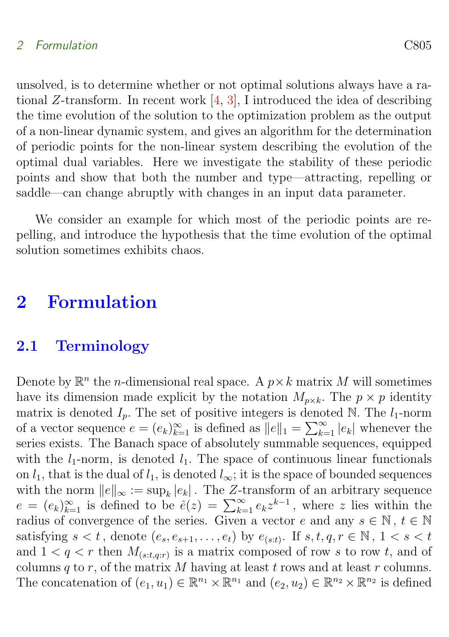### <span id="page-2-2"></span>2 Formulation C805

unsolved, is to determine whether or not optimal solutions always have a rational Z-transform. In recent work  $[4, 3]$  $[4, 3]$  $[4, 3]$ , I introduced the idea of describing the time evolution of the solution to the optimization problem as the output of a non-linear dynamic system, and gives an algorithm for the determination of periodic points for the non-linear system describing the evolution of the optimal dual variables. Here we investigate the stability of these periodic points and show that both the number and type—attracting, repelling or saddle—can change abruptly with changes in an input data parameter.

We consider an example for which most of the periodic points are repelling, and introduce the hypothesis that the time evolution of the optimal solution sometimes exhibits chaos.

# <span id="page-2-0"></span>2 Formulation

### <span id="page-2-1"></span>2.1 Terminology

Denote by  $\mathbb{R}^n$  the *n*-dimensional real space. A  $p \times k$  matrix M will sometimes have its dimension made explicit by the notation  $M_{p\times k}$ . The  $p \times p$  identity matrix is denoted  $I_p$ . The set of positive integers is denoted N. The  $l_1$ -norm of a vector sequence  $e = (e_k)_{k=1}^{\infty}$  is defined as  $||e||_1 = \sum_{k=1}^{\infty} |e_k|$  whenever the series exists. The Banach space of absolutely summable sequences, equipped with the  $l_1$ -norm, is denoted  $l_1$ . The space of continuous linear functionals on  $l_1$ , that is the dual of  $l_1$ , is denoted  $l_{\infty}$ ; it is the space of bounded sequences with the norm  $||e||_{\infty} := \sup_{k} |e_{k}|$ . The Z-transform of an arbitrary sequence  $e = (e_k)_{k=1}^{\infty}$  is defined to be  $\hat{e}(z) = \sum_{k=1}^{\infty} e_k z^{k-1}$ , where z lies within the radius of convergence of the series. Given a vector e and any  $s \in \mathbb{N}$ ,  $t \in \mathbb{N}$ satisfying  $s < t$ , denote  $(e_s, e_{s+1}, \ldots, e_t)$  by  $e_{(s:t)}$ . If  $s, t, q, r \in \mathbb{N}$ ,  $1 < s < t$ and  $1 < q < r$  then  $M_{(s:t,q:r)}$  is a matrix composed of row s to row t, and of columns  $q$  to  $r$ , of the matrix  $M$  having at least  $t$  rows and at least  $r$  columns. The concatenation of  $(e_1, u_1) \in \mathbb{R}^{n_1} \times \mathbb{R}^{n_1}$  and  $(e_2, u_2) \in \mathbb{R}^{n_2} \times \mathbb{R}^{n_2}$  is defined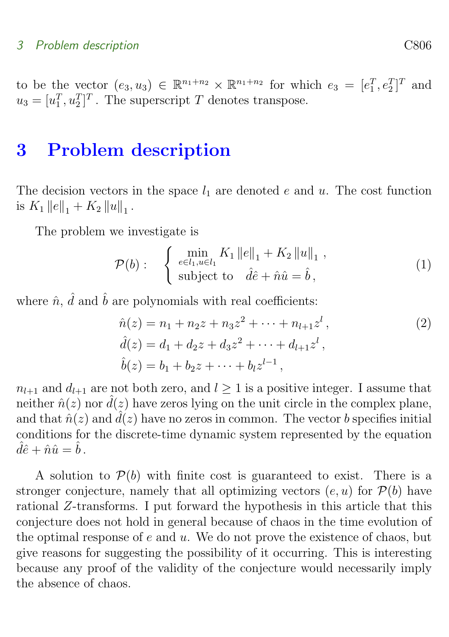to be the vector  $(e_3, u_3) \in \mathbb{R}^{n_1+n_2} \times \mathbb{R}^{n_1+n_2}$  for which  $e_3 = [e_1^T, e_2^T]^T$  and  $u_3 = [u_1^T, u_2^T]^T$ . The superscript T denotes transpose.

# <span id="page-3-0"></span>3 Problem description

The decision vectors in the space  $l_1$  are denoted e and u. The cost function is  $K_1 ||e||_1 + K_2 ||u||_1$ .

The problem we investigate is

$$
\mathcal{P}(b): \quad \begin{cases} \min_{e \in l_1, u \in l_1} K_1 \|e\|_1 + K_2 \|u\|_1, \\ \text{subject to} \quad \hat{d}\hat{e} + \hat{n}\hat{u} = \hat{b}, \end{cases} \tag{1}
$$

where  $\hat{n}$ ,  $\hat{d}$  and  $\hat{b}$  are polynomials with real coefficients:

$$
\hat{n}(z) = n_1 + n_2 z + n_3 z^2 + \dots + n_{l+1} z^l, \n\hat{d}(z) = d_1 + d_2 z + d_3 z^2 + \dots + d_{l+1} z^l, \n\hat{b}(z) = b_1 + b_2 z + \dots + b_l z^{l-1},
$$
\n(2)

 $n_{l+1}$  and  $d_{l+1}$  are not both zero, and  $l \geq 1$  is a positive integer. I assume that neither  $\hat{n}(z)$  nor  $\hat{d}(z)$  have zeros lying on the unit circle in the complex plane, and that  $\hat{n}(z)$  and  $\hat{d}(z)$  have no zeros in common. The vector b specifies initial conditions for the discrete-time dynamic system represented by the equation  $\hat{d}\hat{e}+\hat{n}\hat{u}=\hat{b}$ .

A solution to  $\mathcal{P}(b)$  with finite cost is guaranteed to exist. There is a stronger conjecture, namely that all optimizing vectors  $(e, u)$  for  $\mathcal{P}(b)$  have rational Z-transforms. I put forward the hypothesis in this article that this conjecture does not hold in general because of chaos in the time evolution of the optimal response of  $e$  and  $u$ . We do not prove the existence of chaos, but give reasons for suggesting the possibility of it occurring. This is interesting because any proof of the validity of the conjecture would necessarily imply the absence of chaos.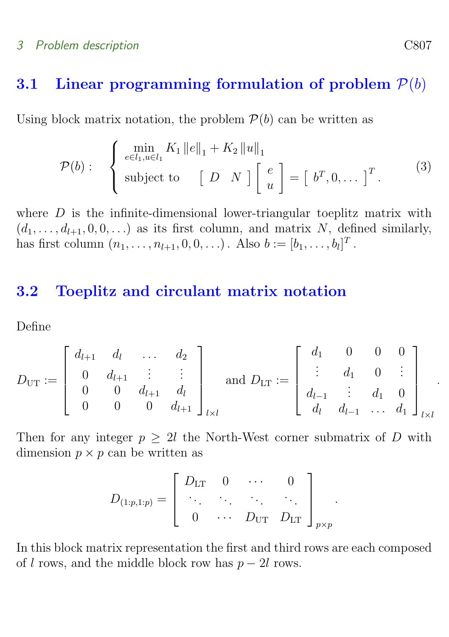#### 3 Problem description C807

### <span id="page-4-0"></span>3.1 Linear programming formulation of problem  $P(b)$

Using block matrix notation, the problem  $\mathcal{P}(b)$  can be written as

<span id="page-4-2"></span>
$$
\mathcal{P}(b): \quad \begin{cases} \min_{e \in l_1, u \in l_1} K_1 ||e||_1 + K_2 ||u||_1 \\ \text{subject to} & [D \ N] \begin{bmatrix} e \\ u \end{bmatrix} = [b^T, 0, \dots]^T. \end{cases} \tag{3}
$$

where  $D$  is the infinite-dimensional lower-triangular toeplitz matrix with  $(d_1, \ldots, d_{l+1}, 0, 0, \ldots)$  as its first column, and matrix N, defined similarly, has first column  $(n_1, ..., n_{l+1}, 0, 0, ...)$ . Also  $b := [b_1, ..., b_l]^T$ .

### <span id="page-4-1"></span>3.2 Toeplitz and circulant matrix notation

Define

$$
D_{\text{UT}} := \left[ \begin{array}{cccc} d_{l+1} & d_l & \dots & d_2 \\ 0 & d_{l+1} & \vdots & \vdots \\ 0 & 0 & d_{l+1} & d_l \\ 0 & 0 & 0 & d_{l+1} \end{array} \right]_{l \times l} \text{ and } D_{\text{LT}} := \left[ \begin{array}{cccc} d_1 & 0 & 0 & 0 \\ \vdots & d_1 & 0 & \vdots \\ d_{l-1} & \vdots & d_1 & 0 \\ d_l & d_{l-1} & \dots & d_1 \end{array} \right]_{l \times l}
$$

Then for any integer  $p \geq 2l$  the North-West corner submatrix of D with dimension  $p \times p$  can be written as

$$
D_{(1:p,1:p)} = \left[ \begin{array}{cccc} D_{\rm LT} & 0 & \cdots & 0 \\ \ddots & \ddots & \ddots & \ddots \\ 0 & \cdots & D_{\rm UT} & D_{\rm LT} \end{array} \right]_{p \times p}.
$$

In this block matrix representation the first and third rows are each composed of l rows, and the middle block row has  $p - 2l$  rows.

.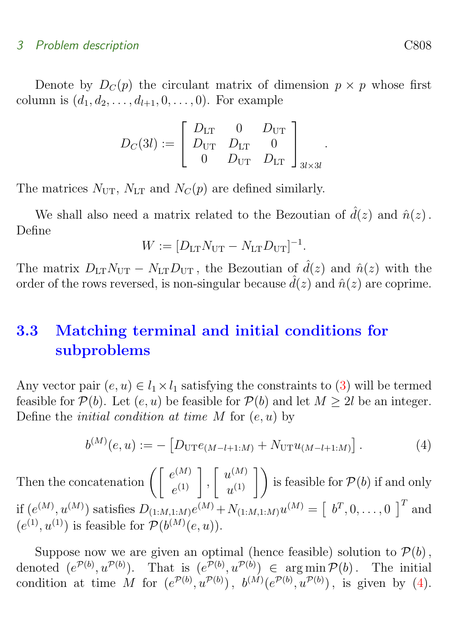#### 3 Problem description C808

Denote by  $D_C(p)$  the circulant matrix of dimension  $p \times p$  whose first column is  $(d_1, d_2, \ldots, d_{l+1}, 0, \ldots, 0)$ . For example

$$
D_C(3l) := \begin{bmatrix} D_{\text{LT}} & 0 & D_{\text{UT}} \\ D_{\text{UT}} & D_{\text{LT}} & 0 \\ 0 & D_{\text{UT}} & D_{\text{LT}} \end{bmatrix}_{3l \times 3l}
$$

.

The matrices  $N_{\text{UT}}$ ,  $N_{\text{LT}}$  and  $N_C(p)$  are defined similarly.

We shall also need a matrix related to the Bezoutian of  $\hat{d}(z)$  and  $\hat{n}(z)$ . Define

$$
W := [D_{\text{LT}} N_{\text{UT}} - N_{\text{LT}} D_{\text{UT}}]^{-1}.
$$

The matrix  $D_{LT}N_{UT} - N_{LT}D_{UT}$ , the Bezoutian of  $\hat{d}(z)$  and  $\hat{n}(z)$  with the order of the rows reversed, is non-singular because  $\hat{d}(z)$  and  $\hat{n}(z)$  are coprime.

# <span id="page-5-0"></span>3.3 Matching terminal and initial conditions for subproblems

Any vector pair  $(e, u) \in l_1 \times l_1$  satisfying the constraints to [\(3\)](#page-4-2) will be termed feasible for  $\mathcal{P}(b)$ . Let  $(e, u)$  be feasible for  $\mathcal{P}(b)$  and let  $M \geq 2l$  be an integer. Define the *initial condition at time*  $M$  for  $(e, u)$  by

<span id="page-5-1"></span>
$$
b^{(M)}(e, u) := -[D_{\text{UT}}e_{(M-l+1:M)} + N_{\text{UT}}u_{(M-l+1:M)}]. \tag{4}
$$

Then the concatenation  $\left(\begin{array}{c} e^{(M)} \\ 0 \end{array}\right)$  $e^{(M)}\left.\begin{matrix} \ & 0\end{matrix}\right|,$  $\lceil u^{(M)} \rceil$  $\left\{ u^{(M)} \atop u^{(1)} \right\}$  is feasible for  $\mathcal{P}(b)$  if and only if  $(e^{(M)}, u^{(M)})$  satisfies  $D_{(1:M,1:M)}e^{(M)} + N_{(1:M,1:M)}u^{(M)} = \begin{bmatrix} b^T, 0, \ldots, 0 \end{bmatrix}^T$  and  $(e^{(1)}, u^{(1)})$  is feasible for  $\mathcal{P}(b^{(M)}(e, u))$ .

Suppose now we are given an optimal (hence feasible) solution to  $\mathcal{P}(b)$ , denoted  $(e^{\mathcal{P}(b)}, u^{\mathcal{P}(b)})$ . That is  $(e^{\mathcal{P}(b)}, u^{\mathcal{P}(b)}) \in \arg \min \mathcal{P}(b)$ . The initial condition at time M for  $(e^{\mathcal{P}(b)}, u^{\mathcal{P}(b)})$ ,  $b^{(M)}(e^{\mathcal{P}(b)}, u^{\mathcal{P}(b)})$ , is given by [\(4\)](#page-5-1).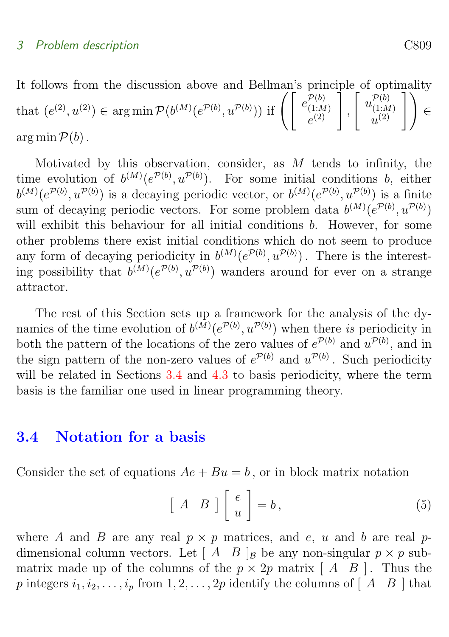It follows from the discussion above and Bellman's principle of optimality that  $(e^{(2)}, u^{(2)}) \in \arg \min \mathcal{P}(b^{(M)}(e^{\mathcal{P}(b)}, u^{\mathcal{P}(b)}))$  if  $\left( \begin{array}{c} e^{\mathcal{P}(b)} \\ e^{(1,M)} \\ e^{(2)} \end{array} \right)$  $(1:M)$  $\left. \begin{array}{c} \mathcal{P}(b) \ (1:M) \ e^{(2)} \end{array} \right] \,,$  $\left[ u \frac{\mathcal{P}(b)}{u_{(1)}}, u \right]$  $(1:M)$  $\left.\begin{array}{c} \mathcal{P}(b)\ \mathcal{P}(1:M) \ u^{(2)} \end{array} \right]\Bigg) \in$ arg min  $\mathcal{P}(b)$ .

Motivated by this observation, consider, as  $M$  tends to infinity, the time evolution of  $b^{(M)}(e^{\mathcal{P}(b)}, u^{\mathcal{P}(b)})$ . For some initial conditions b, either  $b^{(M)}(e^{\mathcal{P}(b)}, u^{\mathcal{P}(b)})$  is a decaying periodic vector, or  $b^{(M)}(e^{\mathcal{P}(b)}, u^{\mathcal{P}(b)})$  is a finite sum of decaying periodic vectors. For some problem data  $b^{(M)}(e^{\mathcal{P}(b)}, u^{\mathcal{P}(b)})$ will exhibit this behaviour for all initial conditions b. However, for some other problems there exist initial conditions which do not seem to produce any form of decaying periodicity in  $b^{(M)}(e^{\mathcal{P}(b)}, u^{\mathcal{P}(b)})$ . There is the interesting possibility that  $b^{(M)}(e^{\mathcal{P}(b)}, u^{\mathcal{P}(b)})$  wanders around for ever on a strange attractor.

The rest of this Section sets up a framework for the analysis of the dynamics of the time evolution of  $b^{(M)}(e^{\mathcal{P}(b)}, u^{\mathcal{P}(b)})$  when there is periodicity in both the pattern of the locations of the zero values of  $e^{\mathcal{P}(b)}$  and  $u^{\mathcal{P}(b)}$ , and in the sign pattern of the non-zero values of  $e^{\mathcal{P}(b)}$  and  $u^{\mathcal{P}(b)}$ . Such periodicity will be related in Sections [3.4](#page-6-0) and [4.3](#page-10-0) to basis periodicity, where the term basis is the familiar one used in linear programming theory.

### <span id="page-6-0"></span>3.4 Notation for a basis

Consider the set of equations  $Ae + Bu = b$ , or in block matrix notation

<span id="page-6-1"></span>
$$
\left[\begin{array}{cc} A & B \end{array}\right] \left[\begin{array}{c} e \\ u \end{array}\right] = b, \tag{5}
$$

where A and B are any real  $p \times p$  matrices, and e, u and b are real pdimensional column vectors. Let  $\begin{bmatrix} A & B \end{bmatrix}$  be any non-singular  $p \times p$  submatrix made up of the columns of the  $p \times 2p$  matrix  $[A \ B]$ . Thus the p integers  $i_1, i_2, \ldots, i_p$  from  $1, 2, \ldots, 2p$  identify the columns of  $[A \ B]$  that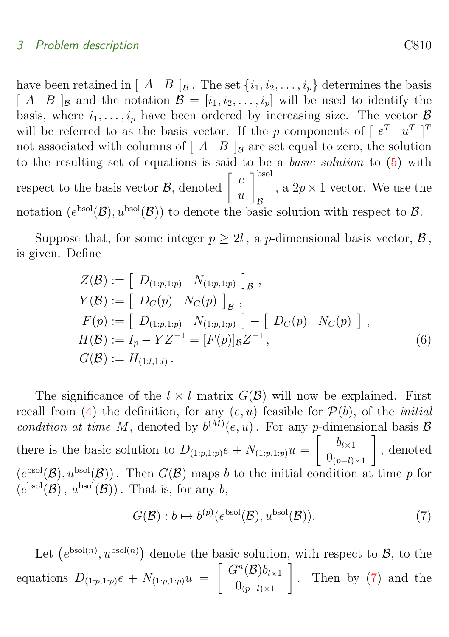#### 3 Problem description C810

have been retained in  $[A \ B]_B$ . The set  $\{i_1, i_2, \ldots, i_p\}$  determines the basis  $[A \ B]$ <sub>B</sub> and the notation  $\mathcal{B} = [i_1, i_2, \ldots, i_p]$  will be used to identify the basis, where  $i_1, \ldots, i_p$  have been ordered by increasing size. The vector  $\beta$ will be referred to as the basis vector. If the p components of  $\begin{bmatrix} e^T & u^T \end{bmatrix}^T$ not associated with columns of  $\begin{bmatrix} A & B \end{bmatrix}_B$  are set equal to zero, the solution to the resulting set of equations is said to be a basic solution to [\(5\)](#page-6-1) with respect to the basis vector  $\mathcal{B}$ , denoted  $\begin{bmatrix} e \\ e \end{bmatrix}$  $\overline{u}$  $\mathcal{I}^{\mathrm{bsol}}$ B , a  $2p \times 1$  vector. We use the notation  $(e^{bsol}(\mathcal{B}), u^{bsol}(\mathcal{B}))$  to denote the basic solution with respect to  $\mathcal{B}$ .

Suppose that, for some integer  $p \geq 2l$ , a *p*-dimensional basis vector,  $\mathcal{B}$ , is given. Define

$$
Z(\mathcal{B}) := \left[ D_{(1:p,1:p)} N_{(1:p,1:p)} \right]_{\mathcal{B}},
$$
  
\n
$$
Y(\mathcal{B}) := \left[ D_C(p) N_C(p) \right]_{\mathcal{B}},
$$
  
\n
$$
F(p) := \left[ D_{(1:p,1:p)} N_{(1:p,1:p)} \right] - \left[ D_C(p) N_C(p) \right],
$$
  
\n
$$
H(\mathcal{B}) := I_p - YZ^{-1} = [F(p)]_{\mathcal{B}}Z^{-1},
$$
  
\n
$$
G(\mathcal{B}) := H_{(1:l,1:l)}.
$$
  
\n(6)

The significance of the  $l \times l$  matrix  $G(\mathcal{B})$  will now be explained. First recall from [\(4\)](#page-5-1) the definition, for any  $(e, u)$  feasible for  $\mathcal{P}(b)$ , of the *initial* condition at time M, denoted by  $b^{(M)}(e, u)$ . For any p-dimensional basis B there is the basic solution to  $D_{(1:p,1:p)}e + N_{(1:p,1:p)}u =$  $\begin{bmatrix} b_{l \times 1} \end{bmatrix}$  $0_{(p-l)\times 1}$ 1 , denoted  $(e^{bsol}(\mathcal{B}), u^{bsol}(\mathcal{B}))$ . Then  $G(\mathcal{B})$  maps b to the initial condition at time p for  $(e^{bsol}(\mathcal{B}), u^{bsol}(\mathcal{B}))$ . That is, for any b,

<span id="page-7-0"></span>
$$
G(\mathcal{B}): b \mapsto b^{(p)}(e^{\text{bsol}}(\mathcal{B}), u^{\text{bsol}}(\mathcal{B})).
$$
\n<sup>(7)</sup>

Let  $(e^{b\text{sol}(n)}, u^{b\text{sol}(n)})$  denote the basic solution, with respect to  $\mathcal{B}$ , to the equations  $D_{(1:p,1:p)}e + N_{(1:p,1:p)}u =$  $\int G^n(\mathcal{B})b_{l\times 1}$  $0_{(p-l)\times 1}$ 1 . Then by [\(7\)](#page-7-0) and the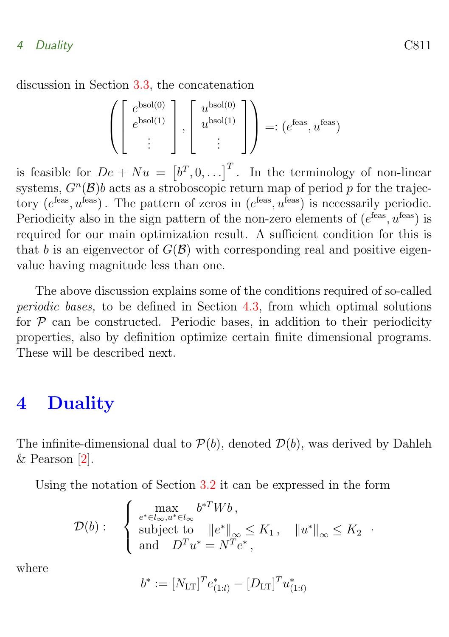#### <span id="page-8-1"></span>4 Duality C811

discussion in Section [3.3,](#page-5-0) the concatenation

$$
\left( \begin{bmatrix} e^{\text{bsol}(0)} \\ e^{\text{bsol}(1)} \\ \vdots \end{bmatrix}, \begin{bmatrix} u^{\text{bsol}(0)} \\ u^{\text{bsol}(1)} \\ \vdots \end{bmatrix} \right) =: (e^{\text{feas}}, u^{\text{feas}})
$$

is feasible for  $De + Nu = [b^T, 0, \ldots]^T$ . In the terminology of non-linear systems,  $G<sup>n</sup>(B)$ b acts as a stroboscopic return map of period p for the trajectory  $(e^{f\text{eas}}, u^{\text{feas}})$ . The pattern of zeros in  $(e^{f\text{eas}}, u^{\text{feas}})$  is necessarily periodic. Periodicity also in the sign pattern of the non-zero elements of  $(e^{f\text{eas}}, u^{\text{feas}})$  is required for our main optimization result. A sufficient condition for this is that b is an eigenvector of  $G(\mathcal{B})$  with corresponding real and positive eigenvalue having magnitude less than one.

The above discussion explains some of the conditions required of so-called periodic bases, to be defined in Section [4.3,](#page-10-0) from which optimal solutions for  $P$  can be constructed. Periodic bases, in addition to their periodicity properties, also by definition optimize certain finite dimensional programs. These will be described next.

# <span id="page-8-0"></span>4 Duality

The infinite-dimensional dual to  $\mathcal{P}(b)$ , denoted  $\mathcal{D}(b)$ , was derived by Dahleh & Pearson [\[2\]](#page-18-5).

Using the notation of Section [3.2](#page-4-1) it can be expressed in the form

$$
\mathcal{D}(b): \quad \begin{cases} \max_{e^* \in l_\infty, u^* \in l_\infty} b^{*T} W b \,, \\ \text{subject to} \quad \|e^*\|_\infty \leq K_1 \,, \quad \|u^*\|_\infty \leq K_2 \\ \text{and} \quad D^T u^* = N^T e^* \,, \end{cases}
$$

where

$$
b^* := [N_{\text{LT}}]^T e^*_{(1:l)} - [D_{\text{LT}}]^T u^*_{(1:l)}
$$

.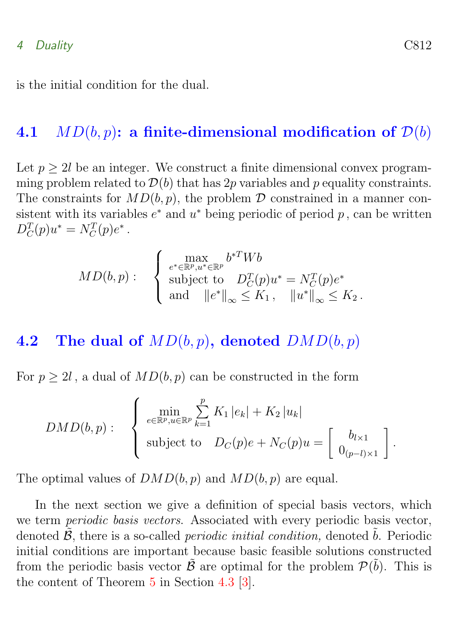#### <span id="page-9-2"></span>4 Duality C812

is the initial condition for the dual.

### <span id="page-9-0"></span>4.1  $MD(b, p)$ : a finite-dimensional modification of  $D(b)$

Let  $p > 2l$  be an integer. We construct a finite dimensional convex programming problem related to  $\mathcal{D}(b)$  that has 2p variables and p equality constraints. The constraints for  $MD(b, p)$ , the problem  $D$  constrained in a manner consistent with its variables  $e^*$  and  $u^*$  being periodic of period  $p$ , can be written  $D_C^T(p)u^* = N_C^T(p)e^*$ .

$$
MD(b, p): \quad \begin{cases} \max_{e^* \in \mathbb{R}^p, u^* \in \mathbb{R}^p} b^{*T} W b \\ \text{subject to} \quad D_C^T(p) u^* = N_C^T(p) e^* \\ \text{and} \quad ||e^*||_{\infty} \leq K_1, \quad ||u^*||_{\infty} \leq K_2 \, . \end{cases}
$$

### <span id="page-9-1"></span>4.2 The dual of  $MD(b, p)$ , denoted  $DMD(b, p)$

For  $p \geq 2l$ , a dual of  $MD(b, p)$  can be constructed in the form

$$
DMD(b, p): \begin{cases} \min_{e \in \mathbb{R}^p, u \in \mathbb{R}^p} \sum_{k=1}^p K_1 |e_k| + K_2 |u_k| \\ \text{subject to} & D_C(p)e + N_C(p)u = \begin{bmatrix} b_{l \times 1} \\ 0_{(p-l) \times 1} \end{bmatrix} . \end{cases}
$$

The optimal values of  $DMD(b, p)$  and  $MD(b, p)$  are equal.

In the next section we give a definition of special basis vectors, which we term periodic basis vectors. Associated with every periodic basis vector, denoted  $\tilde{\mathcal{B}}$ , there is a so-called *periodic initial condition*, denoted  $\tilde{b}$ . Periodic initial conditions are important because basic feasible solutions constructed from the periodic basis vector  $\tilde{\mathcal{B}}$  are optimal for the problem  $\mathcal{P}(\tilde{b})$ . This is the content of Theorem [5](#page-11-1) in Section [4.3](#page-10-0) [\[3\]](#page-18-4).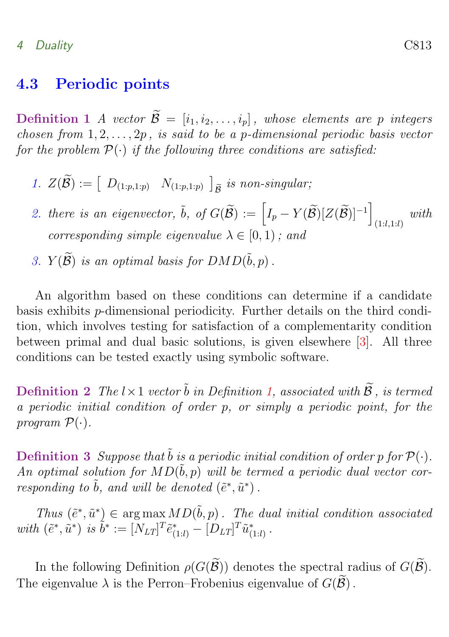#### <span id="page-10-2"></span>4 Duality C813

### <span id="page-10-0"></span>4.3 Periodic points

<span id="page-10-1"></span>**Definition 1** A vector  $\widetilde{\mathcal{B}} = [i_1, i_2, \ldots, i_p]$ , whose elements are p integers chosen from  $1, 2, \ldots, 2p$ , is said to be a p-dimensional periodic basis vector for the problem  $\mathcal{P}(\cdot)$  if the following three conditions are satisfied:

- 1.  $Z(\mathcal{B}) := [D_{(1:p,1:p)} N_{(1:p,1:p)}]$  $\tilde{B}$  is non-singular;
- 2. there is an eigenvector,  $\tilde{b}$ , of  $G(\widetilde{\mathcal{B}}) := \left[I_p Y(\widetilde{\mathcal{B}})[Z(\widetilde{\mathcal{B}})]^{-1}\right]$  $_{(1:l,1:l)}$  with corresponding simple eigenvalue  $\lambda \in [0,1)$ ; and
- 3.  $Y(\widetilde{\mathcal{B}})$  is an optimal basis for  $DMD(\widetilde{b}, p)$ .

An algorithm based on these conditions can determine if a candidate basis exhibits p-dimensional periodicity. Further details on the third condition, which involves testing for satisfaction of a complementarity condition between primal and dual basic solutions, is given elsewhere [\[3\]](#page-18-4). All three conditions can be tested exactly using symbolic software.

**Definition 2** The  $l \times 1$  vector  $\tilde{b}$  in Definition [1,](#page-10-1) associated with  $\tilde{\mathcal{B}}$ , is termed a periodic initial condition of order p, or simply a periodic point, for the program  $\mathcal{P}(\cdot)$ .

**Definition 3** Suppose that  $\tilde{b}$  is a periodic initial condition of order p for  $\mathcal{P}(\cdot)$ . An optimal solution for  $MD(\tilde{b}, p)$  will be termed a periodic dual vector corresponding to  $\tilde{b}$ , and will be denoted  $(\tilde{e}^*, \tilde{u}^*)$ .

Thus  $(\tilde{e}^*, \tilde{u}^*) \in \arg \max MD(\tilde{b}, p)$ . The dual initial condition associated with  $(\tilde{e}^*, \tilde{u}^*)$  is  $\tilde{b}^* := [N_{LT}]^T \tilde{e}^*_{(1:l)} - [D_{LT}]^T \tilde{u}^*_{(1:l)}$ .

In the following Definition  $\rho(G(\widetilde{\mathcal{B}}))$  denotes the spectral radius of  $G(\widetilde{\mathcal{B}})$ . The eigenvalue  $\lambda$  is the Perron–Frobenius eigenvalue of  $G(\mathcal{B})$ .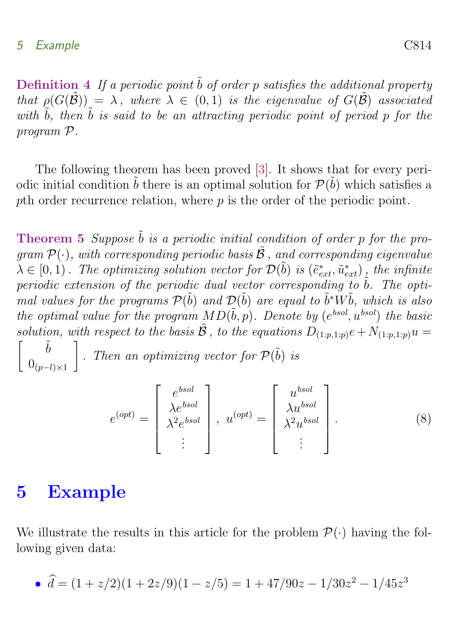<span id="page-11-2"></span>Definition 4 If a periodic point  $\tilde{b}$  of order p satisfies the additional property that  $\rho(G(\tilde{\mathcal{B}})) = \lambda$ , where  $\lambda \in (0,1)$  is the eigenvalue of  $G(\tilde{\mathcal{B}})$  associated with  $\tilde{b}$ , then  $\tilde{b}$  is said to be an attracting periodic point of period p for the program P.

The following theorem has been proved [\[3\]](#page-18-4). It shows that for every periodic initial condition  $\tilde{b}$  there is an optimal solution for  $\mathcal{P}(\tilde{b})$  which satisfies a pth order recurrence relation, where p is the order of the periodic point.

<span id="page-11-1"></span>**Theorem 5** Suppose  $\tilde{b}$  is a periodic initial condition of order p for the program  $\mathcal{P}(\cdot)$ , with corresponding periodic basis  $\tilde{\mathcal{B}}$ , and corresponding eigenvalue  $\lambda \in [0,1)$ . The optimizing solution vector for  $\mathcal{D}(\tilde{b})$  is  $(\tilde{e}^*_{ext}, \tilde{u}^*_{ext})$ , the infinite periodic extension of the periodic dual vector corresponding to  $\tilde{b}$ . The optimal values for the programs  $\mathcal{P}(\tilde{b})$  and  $\mathcal{D}(\tilde{b})$  are equal to  $\tilde{b}^*W\tilde{b}$ , which is also the optimal value for the program  $MD(\tilde{b}, p)$ . Denote by  $(e^{bsol}, u^{bsol})$  the basic solution, with respect to the basis  $\tilde{\mathcal{B}}$ , to the equations  $D_{(1:p,1:p)}e+N_{(1:p,1:p)}u=$  $\begin{bmatrix} & & \tilde{b} \end{bmatrix}$  $0_{(p-l)\times 1}$ 1 . Then an optimizing vector for  $\mathcal{P}(\tilde{b})$  is

$$
e^{(opt)} = \begin{bmatrix} e^{bsol} \\ \lambda e^{bsol} \\ \lambda^2 e^{bsol} \\ \vdots \end{bmatrix}, u^{(opt)} = \begin{bmatrix} u^{bsol} \\ \lambda u^{bsol} \\ \lambda^2 u^{bsol} \\ \vdots \end{bmatrix}.
$$
 (8)

# <span id="page-11-0"></span>5 Example

We illustrate the results in this article for the problem  $\mathcal{P}(\cdot)$  having the following given data:

• 
$$
\hat{d} = (1 + z/2)(1 + 2z/9)(1 - z/5) = 1 + 47/90z - 1/30z^2 - 1/45z^3
$$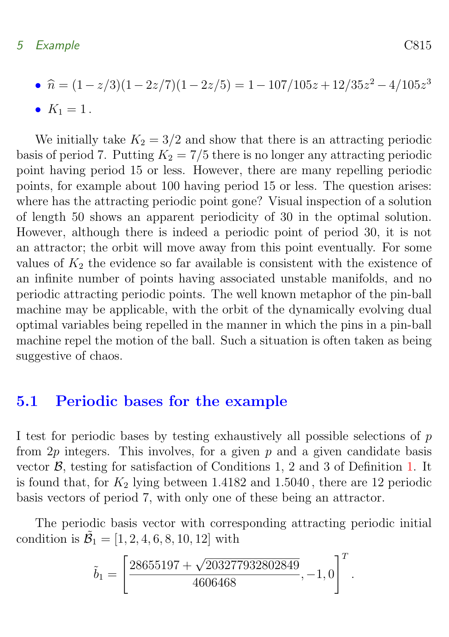#### 5 Example C815

• 
$$
\hat{n} = (1 - z/3)(1 - 2z/7)(1 - 2z/5) = 1 - 107/105z + 12/35z^2 - 4/105z^3
$$

•  $K_1 = 1$ .

We initially take  $K_2 = 3/2$  and show that there is an attracting periodic basis of period 7. Putting  $K_2 = 7/5$  there is no longer any attracting periodic point having period 15 or less. However, there are many repelling periodic points, for example about 100 having period 15 or less. The question arises: where has the attracting periodic point gone? Visual inspection of a solution of length 50 shows an apparent periodicity of 30 in the optimal solution. However, although there is indeed a periodic point of period 30, it is not an attractor; the orbit will move away from this point eventually. For some values of  $K_2$  the evidence so far available is consistent with the existence of an infinite number of points having associated unstable manifolds, and no periodic attracting periodic points. The well known metaphor of the pin-ball machine may be applicable, with the orbit of the dynamically evolving dual optimal variables being repelled in the manner in which the pins in a pin-ball machine repel the motion of the ball. Such a situation is often taken as being suggestive of chaos.

### <span id="page-12-0"></span>5.1 Periodic bases for the example

I test for periodic bases by testing exhaustively all possible selections of p from  $2p$  integers. This involves, for a given p and a given candidate basis vector  $\beta$ , testing for satisfaction of Conditions 1, 2 and 3 of Definition [1.](#page-10-1) It is found that, for  $K_2$  lying between 1.4182 and 1.5040, there are 12 periodic basis vectors of period 7, with only one of these being an attractor.

The periodic basis vector with corresponding attracting periodic initial condition is  $\mathcal{B}_1 = [1, 2, 4, 6, 8, 10, 12]$  with

$$
\tilde{b}_1 = \left[ \frac{28655197 + \sqrt{203277932802849}}{4606468}, -1, 0 \right]^T.
$$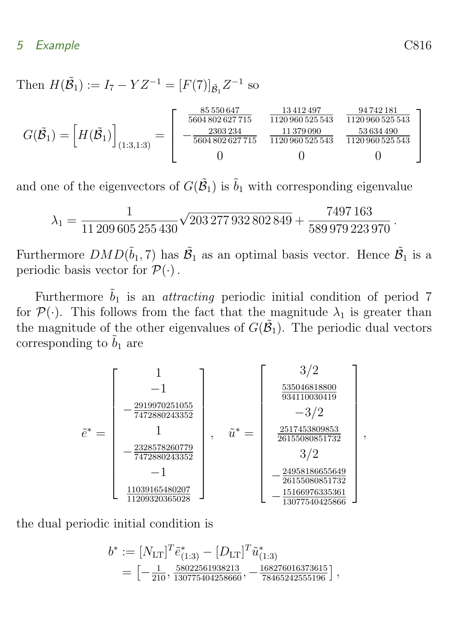Then  $H(\tilde{B}_1) := I_7 - YZ^{-1} = [F(7)]_{\tilde{B}_1} Z^{-1}$  so

$$
G(\tilde{\mathcal{B}}_1) = \left[ H(\tilde{\mathcal{B}}_1) \right]_{(1:3,1:3)} = \left[ \begin{array}{ccc} \frac{85\,550\,647}{5604\,802\,627\,715} & \frac{13\,412\,497}{1120\,960\,525\,543} & \frac{94\,742\,181}{1120\,960\,525\,543} \\ -\frac{2303\,234}{5604\,802\,627\,715} & \frac{11\,379\,990}{1120\,960\,525\,543} & \frac{53\,634\,490}{1120\,960\,525\,543} \\ 0 & 0 & 0 \end{array} \right]
$$

and one of the eigenvectors of  $G(\tilde{B}_1)$  is  $\tilde{b}_1$  with corresponding eigenvalue

$$
\lambda_1 = \frac{1}{11\,209\,605\,255\,430} \sqrt{203\,277\,932\,802\,849} + \frac{7497\,163}{589\,979\,223\,970} \,.
$$

Furthermore  $DMD(\tilde{b}_1, 7)$  has  $\tilde{\mathcal{B}}_1$  as an optimal basis vector. Hence  $\tilde{\mathcal{B}}_1$  is a periodic basis vector for  $\mathcal{P}(\cdot)$ .

Furthermore  $\tilde{b}_1$  is an *attracting* periodic initial condition of period 7 for  $\mathcal{P}(\cdot)$ . This follows from the fact that the magnitude  $\lambda_1$  is greater than the magnitude of the other eigenvalues of  $G(\tilde{B}_1)$ . The periodic dual vectors corresponding to  $\tilde{b}_1$  are

$$
\tilde{e}^* = \begin{bmatrix}\n1 \\
-1 \\
-\frac{2919970251055}{7472880243352} \\
- \frac{2328578260779}{7472880243352} \\
- 1 \\
\frac{11039165480207}{11209320365028}\n\end{bmatrix}, \quad \tilde{u}^* = \begin{bmatrix}\n3/2 \\
\frac{535046818800}{934110030419} \\
- 3/2 \\
\frac{2517453809853}{26155080851732} \\
3/2 \\
-\frac{24958186655649}{26155080851732} \\
-\frac{15166976335361}{13077540425866}\n\end{bmatrix},
$$

the dual periodic initial condition is

$$
b^* := [N_{\text{LT}}]^T \tilde{e}_{(1:3)}^* - [D_{\text{LT}}]^T \tilde{u}_{(1:3)}^*
$$
  
= 
$$
\left[ -\frac{1}{210}, \frac{58022561938213}{130775404258660}, -\frac{168276016373615}{78465242555196} \right],
$$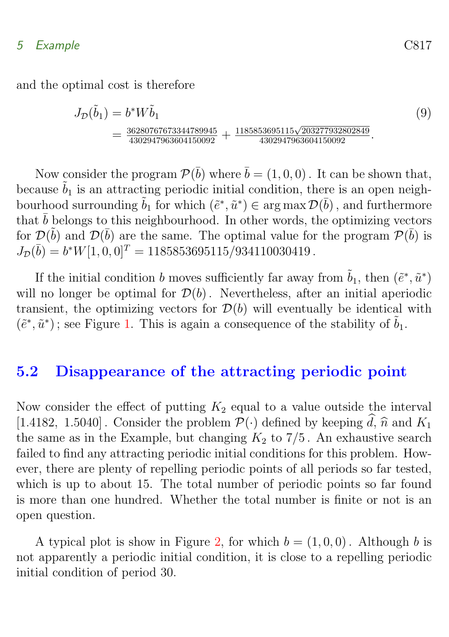### 5 Example C817

and the optimal cost is therefore

$$
J_{\mathcal{D}}(\tilde{b}_1) = b^* W \tilde{b}_1
$$
\n
$$
= \frac{36280767673344789945}{4302947963604150092} + \frac{1185853695115\sqrt{203277932802849}}{4302947963604150092}.
$$
\n(9)

Now consider the program  $\mathcal{P}(\bar{b})$  where  $\bar{b} = (1, 0, 0)$ . It can be shown that, because  $\tilde{b}_1$  is an attracting periodic initial condition, there is an open neighbourhood surrounding  $\tilde{b}_1$  for which  $(\tilde{e}^*, \tilde{u}^*) \in \arg \max \mathcal{D}(\bar{b})$ , and furthermore that  $\bar{b}$  belongs to this neighbourhood. In other words, the optimizing vectors for  $\mathcal{D}(\tilde{b})$  and  $\mathcal{D}(\bar{b})$  are the same. The optimal value for the program  $\mathcal{P}(\bar{b})$  is  $J_{\mathcal{D}}(\bar{b}) = b^*W[1, 0, 0]^T = 1185853695115/934110030419$ .

If the initial condition b moves sufficiently far away from  $\tilde{b}_1$ , then  $(\tilde{e}^*, \tilde{u}^*)$ will no longer be optimal for  $\mathcal{D}(b)$ . Nevertheless, after an initial aperiodic transient, the optimizing vectors for  $\mathcal{D}(b)$  will eventually be identical with  $(\tilde{e}^*, \tilde{u}^*)$ ; see Figure [1.](#page-15-0) This is again a consequence of the stability of  $\tilde{b}_1$ .

### <span id="page-14-0"></span>5.2 Disappearance of the attracting periodic point

Now consider the effect of putting  $K_2$  equal to a value outside the interval [1.4182, 1.5040]. Consider the problem  $\mathcal{P}(\cdot)$  defined by keeping  $\hat{d}$ ,  $\hat{n}$  and  $K_1$ the same as in the Example, but changing  $K_2$  to 7/5. An exhaustive search failed to find any attracting periodic initial conditions for this problem. However, there are plenty of repelling periodic points of all periods so far tested, which is up to about 15. The total number of periodic points so far found is more than one hundred. Whether the total number is finite or not is an open question.

A typical plot is show in Figure [2,](#page-16-0) for which  $b = (1, 0, 0)$ . Although b is not apparently a periodic initial condition, it is close to a repelling periodic initial condition of period 30.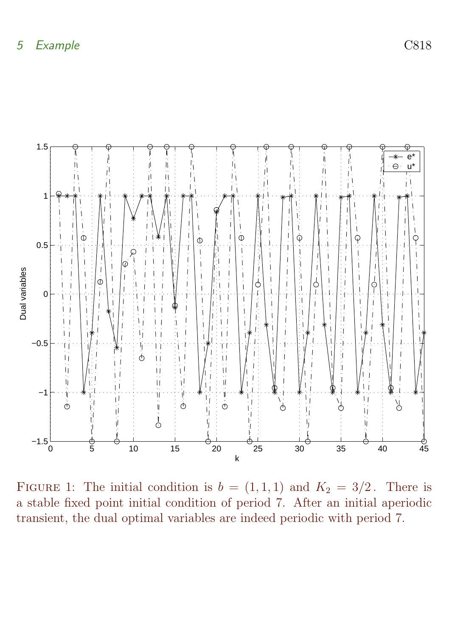

<span id="page-15-0"></span>FIGURE 1: The initial condition is  $b = (1, 1, 1)$  and  $K_2 = 3/2$ . There is a stable fixed point initial condition of period 7. After an initial aperiodic transient, the dual optimal variables are indeed periodic with period 7.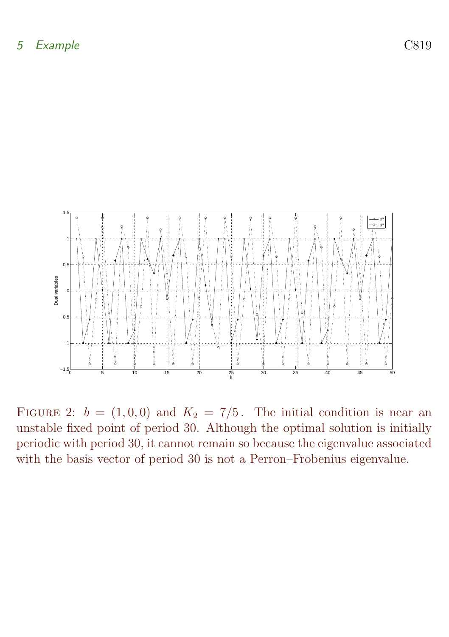

<span id="page-16-0"></span>FIGURE 2:  $b = (1, 0, 0)$  and  $K_2 = 7/5$ . The initial condition is near an unstable fixed point of period 30. Although the optimal solution is initially periodic with period 30, it cannot remain so because the eigenvalue associated with the basis vector of period 30 is not a Perron–Frobenius eigenvalue.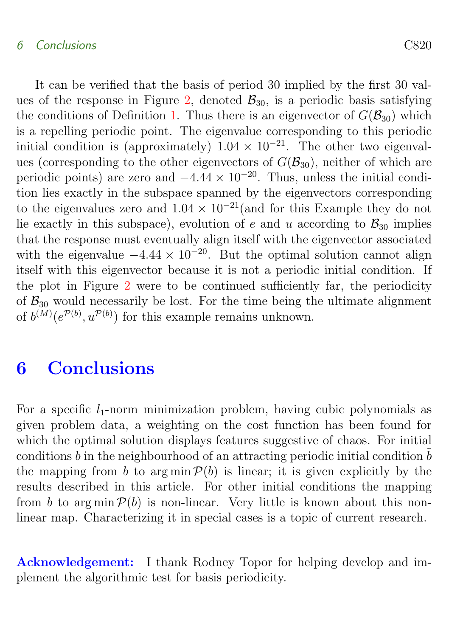#### 6 Conclusions C820

It can be verified that the basis of period 30 implied by the first 30 val-ues of the response in Figure [2,](#page-16-0) denoted  $\mathcal{B}_{30}$ , is a periodic basis satisfying the conditions of Definition [1.](#page-10-1) Thus there is an eigenvector of  $G(\mathcal{B}_{30})$  which is a repelling periodic point. The eigenvalue corresponding to this periodic initial condition is (approximately)  $1.04 \times 10^{-21}$ . The other two eigenvalues (corresponding to the other eigenvectors of  $G(\mathcal{B}_{30})$ , neither of which are periodic points) are zero and  $-4.44 \times 10^{-20}$ . Thus, unless the initial condition lies exactly in the subspace spanned by the eigenvectors corresponding to the eigenvalues zero and  $1.04 \times 10^{-21}$  (and for this Example they do not lie exactly in this subspace), evolution of e and u according to  $\mathcal{B}_{30}$  implies that the response must eventually align itself with the eigenvector associated with the eigenvalue  $-4.44 \times 10^{-20}$ . But the optimal solution cannot align itself with this eigenvector because it is not a periodic initial condition. If the plot in Figure [2](#page-16-0) were to be continued sufficiently far, the periodicity of  $\mathcal{B}_{30}$  would necessarily be lost. For the time being the ultimate alignment of  $b^{(M)}(e^{\mathcal{P}(b)}, u^{\mathcal{P}(b)})$  for this example remains unknown.

# <span id="page-17-0"></span>6 Conclusions

For a specific  $l_1$ -norm minimization problem, having cubic polynomials as given problem data, a weighting on the cost function has been found for which the optimal solution displays features suggestive of chaos. For initial conditions b in the neighbourhood of an attracting periodic initial condition  $\tilde{b}$ the mapping from b to argmin  $\mathcal{P}(b)$  is linear; it is given explicitly by the results described in this article. For other initial conditions the mapping from b to arg min  $\mathcal{P}(b)$  is non-linear. Very little is known about this nonlinear map. Characterizing it in special cases is a topic of current research.

Acknowledgement: I thank Rodney Topor for helping develop and implement the algorithmic test for basis periodicity.